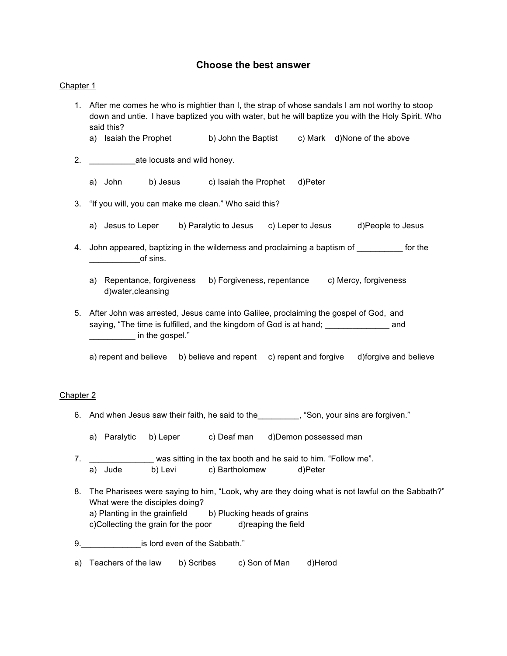## **Choose the best answer**

#### Chapter 1

- 1. After me comes he who is mightier than I, the strap of whose sandals I am not worthy to stoop down and untie. I have baptized you with water, but he will baptize you with the Holy Spirit. Who said this?
	- a) Isaiah the Prophet b) John the Baptist c) Mark d)None of the above
- 2. \_\_\_\_\_\_\_\_\_\_ate locusts and wild honey.
	- a) John b) Jesus c) Isaiah the Prophet d)Peter
- 3. "If you will, you can make me clean." Who said this?
	- a) Jesus to Leper b) Paralytic to Jesus c) Leper to Jesus d)People to Jesus
- 4. John appeared, baptizing in the wilderness and proclaiming a baptism of \_\_\_\_\_\_\_\_\_ for the  $\overline{\phantom{a}}$  of sins.
	- a) Repentance, forgiveness b) Forgiveness, repentance c) Mercy, forgiveness d)water,cleansing
- 5. After John was arrested, Jesus came into Galilee, proclaiming the gospel of God, and saying, "The time is fulfilled, and the kingdom of God is at hand; \_\_\_\_\_\_\_\_\_\_\_\_\_\_\_\_\_\_\_ and  $\blacksquare$  in the gospel."
	- a) repent and believe b) believe and repent c) repent and forgive d)forgive and believe

#### Chapter 2

- 6. And when Jesus saw their faith, he said to the ... (Son, your sins are forgiven."
	- a) Paralytic b) Leper c) Deaf man d)Demon possessed man
- 7. \_\_\_\_\_\_\_\_\_\_\_\_\_\_\_\_\_ was sitting in the tax booth and he said to him. "Follow me". a) Jude b) Levi c) Bartholomew d)Peter
- 8. The Pharisees were saying to him, "Look, why are they doing what is not lawful on the Sabbath?" What were the disciples doing? a) Planting in the grainfield b) Plucking heads of grains c)Collecting the grain for the poor d)reaping the field
- 9. **Solution** is lord even of the Sabbath."
- a) Teachers of the law b) Scribes c) Son of Man d)Herod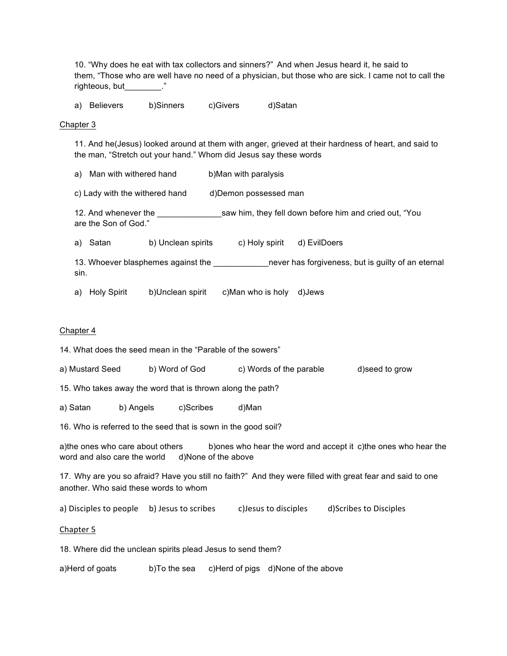10. "Why does he eat with tax collectors and sinners?" And when Jesus heard it, he said to them, "Those who are well have no need of a physician, but those who are sick. I came not to call the righteous, but  $\blacksquare$ "

a) Believers b)Sinners c)Givers d)Satan

#### Chapter 3

11. And he(Jesus) looked around at them with anger, grieved at their hardness of heart, and said to the man, "Stretch out your hand." Whom did Jesus say these words

a) Man with withered hand b)Man with paralysis

c) Lady with the withered hand d)Demon possessed man

12. And whenever the \_\_\_\_\_\_\_\_\_\_\_\_\_\_saw him, they fell down before him and cried out, "You are the Son of God."

a) Satan b) Unclean spirits c) Holy spirit d) EvilDoers

13. Whoever blasphemes against the \_\_\_\_\_\_\_\_\_\_\_\_\_\_\_\_\_never has forgiveness, but is guilty of an eternal sin.

a) Holy Spirit b)Unclean spirit c)Man who is holy d)Jews

#### Chapter 4

14. What does the seed mean in the "Parable of the sowers"

a) Mustard Seed b) Word of God c) Words of the parable d)seed to grow

15. Who takes away the word that is thrown along the path?

a) Satan b) Angels c)Scribes d)Man

16. Who is referred to the seed that is sown in the good soil?

a)the ones who care about others b)ones who hear the word and accept it c)the ones who hear the word and also care the world d)None of the above

17. Why are you so afraid? Have you still no faith?" And they were filled with great fear and said to one another. Who said these words to whom

a) Disciples to people b) Jesus to scribes c)Jesus to disciples d)Scribes to Disciples

Chapter 5

18. Where did the unclean spirits plead Jesus to send them?

a)Herd of goats b)To the sea c)Herd of pigs d)None of the above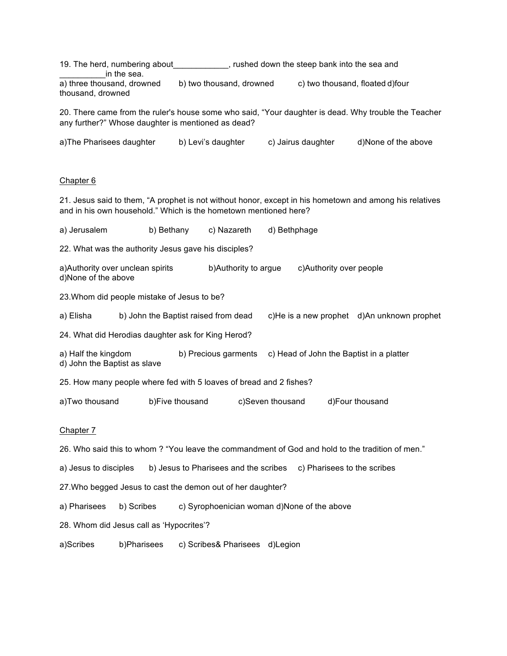19. The herd, numbering about \_\_\_\_\_\_\_\_\_\_\_, rushed down the steep bank into the sea and in the sea. a) three thousand, drowned b) two thousand, drowned c) two thousand, floated d)four thousand, drowned 20. There came from the ruler's house some who said, "Your daughter is dead. Why trouble the Teacher any further?" Whose daughter is mentioned as dead? a)The Pharisees daughter b) Levi's daughter c) Jairus daughter d)None of the above Chapter 6 21. Jesus said to them, "A prophet is not without honor, except in his hometown and among his relatives and in his own household." Which is the hometown mentioned here? a) Jerusalem b) Bethany c) Nazareth d) Bethphage 22. What was the authority Jesus gave his disciples? a)Authority over unclean spirits b)Authority to argue c)Authority over people d)None of the above 23.Whom did people mistake of Jesus to be? a) Elisha b) John the Baptist raised from dead c)He is a new prophet d)An unknown prophet 24. What did Herodias daughter ask for King Herod? a) Half the kingdom b) Precious garments c) Head of John the Baptist in a platter d) John the Baptist as slave 25. How many people where fed with 5 loaves of bread and 2 fishes? a)Two thousand b)Five thousand c)Seven thousand d)Four thousand Chapter 7 26. Who said this to whom ? "You leave the commandment of God and hold to the tradition of men." a) Jesus to disciples b) Jesus to Pharisees and the scribes c) Pharisees to the scribes 27.Who begged Jesus to cast the demon out of her daughter? a) Pharisees b) Scribes c) Syrophoenician woman d)None of the above 28. Whom did Jesus call as 'Hypocrites'? a)Scribes b)Pharisees c) Scribes& Pharisees d)Legion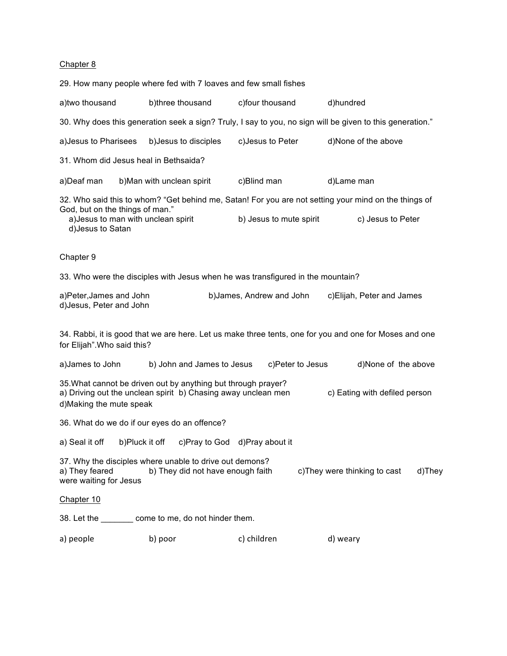### Chapter 8

| 29. How many people where fed with 7 loaves and few small fishes                                                                                                                            |                                                                                 |                           |                                                                                                           |  |  |
|---------------------------------------------------------------------------------------------------------------------------------------------------------------------------------------------|---------------------------------------------------------------------------------|---------------------------|-----------------------------------------------------------------------------------------------------------|--|--|
| a) two thousand                                                                                                                                                                             | b)three thousand                                                                | c)four thousand           | d)hundred                                                                                                 |  |  |
|                                                                                                                                                                                             |                                                                                 |                           | 30. Why does this generation seek a sign? Truly, I say to you, no sign will be given to this generation." |  |  |
| a) Jesus to Pharisees                                                                                                                                                                       | b) Jesus to disciples                                                           | c) Jesus to Peter         | d)None of the above                                                                                       |  |  |
| 31. Whom did Jesus heal in Bethsaida?                                                                                                                                                       |                                                                                 |                           |                                                                                                           |  |  |
| a)Deaf man                                                                                                                                                                                  | b) Man with unclean spirit                                                      | c)Blind man               | d)Lame man                                                                                                |  |  |
|                                                                                                                                                                                             |                                                                                 |                           | 32. Who said this to whom? "Get behind me, Satan! For you are not setting your mind on the things of      |  |  |
| God, but on the things of man."<br>a) Jesus to man with unclean spirit<br>d) Jesus to Satan                                                                                                 |                                                                                 | b) Jesus to mute spirit   | c) Jesus to Peter                                                                                         |  |  |
| Chapter 9                                                                                                                                                                                   |                                                                                 |                           |                                                                                                           |  |  |
|                                                                                                                                                                                             | 33. Who were the disciples with Jesus when he was transfigured in the mountain? |                           |                                                                                                           |  |  |
| a)Peter, James and John<br>d) Jesus, Peter and John                                                                                                                                         |                                                                                 | b) James, Andrew and John | c) Elijah, Peter and James                                                                                |  |  |
| 34. Rabbi, it is good that we are here. Let us make three tents, one for you and one for Moses and one<br>for Elijah". Who said this?                                                       |                                                                                 |                           |                                                                                                           |  |  |
| a) James to John                                                                                                                                                                            | b) John and James to Jesus                                                      | c)Peter to Jesus          | d)None of the above                                                                                       |  |  |
| 35. What cannot be driven out by anything but through prayer?<br>c) Eating with defiled person<br>a) Driving out the unclean spirit b) Chasing away unclean men<br>d) Making the mute speak |                                                                                 |                           |                                                                                                           |  |  |
| 36. What do we do if our eyes do an offence?                                                                                                                                                |                                                                                 |                           |                                                                                                           |  |  |
| b)Pluck it off<br>a) Seal it off                                                                                                                                                            | c)Pray to God                                                                   | d)Pray about it           |                                                                                                           |  |  |
| 37. Why the disciples where unable to drive out demons?<br>a) They feared<br>c) They were thinking to cast<br>b) They did not have enough faith<br>d)They<br>were waiting for Jesus         |                                                                                 |                           |                                                                                                           |  |  |
| Chapter 10                                                                                                                                                                                  |                                                                                 |                           |                                                                                                           |  |  |
|                                                                                                                                                                                             | 38. Let the _________ come to me, do not hinder them.                           |                           |                                                                                                           |  |  |
| a) people                                                                                                                                                                                   | b) poor                                                                         | c) children               | d) weary                                                                                                  |  |  |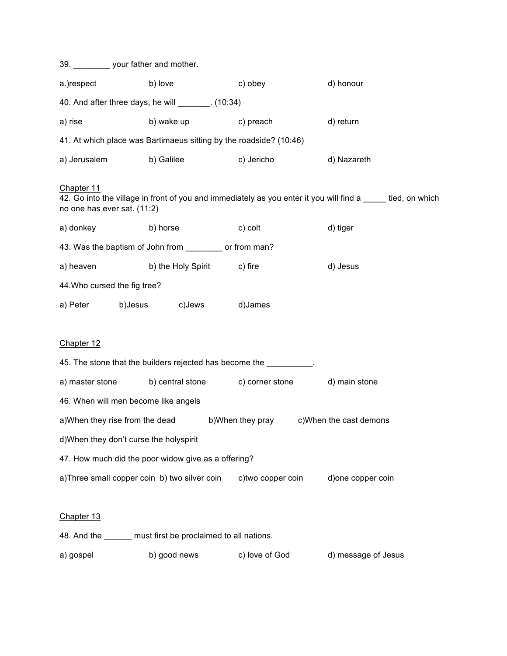|                                                     | 39. ___________ your father and mother.                     |                            |                                                                        |                                                                                                              |  |  |
|-----------------------------------------------------|-------------------------------------------------------------|----------------------------|------------------------------------------------------------------------|--------------------------------------------------------------------------------------------------------------|--|--|
| a.)respect                                          | b) love                                                     |                            | c) obey                                                                | d) honour                                                                                                    |  |  |
|                                                     | 40. And after three days, he will ________. (10:34)         |                            |                                                                        |                                                                                                              |  |  |
| a) rise                                             |                                                             | b) wake up                 | c) preach                                                              | d) return                                                                                                    |  |  |
|                                                     |                                                             |                            | 41. At which place was Bartimaeus sitting by the roadside? (10:46)     |                                                                                                              |  |  |
|                                                     | a) Jerusalem b) Galilee                                     |                            | c) Jericho                                                             | d) Nazareth                                                                                                  |  |  |
| Chapter 11<br>no one has ever sat. (11:2)           |                                                             |                            |                                                                        | 42. Go into the village in front of you and immediately as you enter it you will find a _____ tied, on which |  |  |
| a) donkey                                           | b) horse                                                    |                            | c) colt                                                                | d) tiger                                                                                                     |  |  |
|                                                     | 43. Was the baptism of John from ___________ or from man?   |                            |                                                                        |                                                                                                              |  |  |
| a) heaven                                           |                                                             | b) the Holy Spirit c) fire |                                                                        | d) Jesus                                                                                                     |  |  |
|                                                     | 44. Who cursed the fig tree?                                |                            |                                                                        |                                                                                                              |  |  |
|                                                     | a) Peter b) Jesus c) Jews                                   |                            | d)James                                                                |                                                                                                              |  |  |
| Chapter 12                                          |                                                             |                            | 45. The stone that the builders rejected has become the _________.     |                                                                                                              |  |  |
|                                                     |                                                             |                            | a) master stone b) central stone c) corner stone                       | d) main stone                                                                                                |  |  |
|                                                     | 46. When will men become like angels                        |                            |                                                                        |                                                                                                              |  |  |
|                                                     |                                                             |                            | a)When they rise from the dead b)When they pray c)When the cast demons |                                                                                                              |  |  |
|                                                     | d) When they don't curse the holyspirit                     |                            |                                                                        |                                                                                                              |  |  |
| 47. How much did the poor widow give as a offering? |                                                             |                            |                                                                        |                                                                                                              |  |  |
|                                                     | a)Three small copper coin b) two silver coin                |                            | c)two copper coin                                                      | d) one copper coin                                                                                           |  |  |
| Chapter 13                                          |                                                             |                            |                                                                        |                                                                                                              |  |  |
|                                                     | 48. And the ______ must first be proclaimed to all nations. |                            |                                                                        |                                                                                                              |  |  |
| a) gospel                                           | b) good news                                                |                            | c) love of God                                                         | d) message of Jesus                                                                                          |  |  |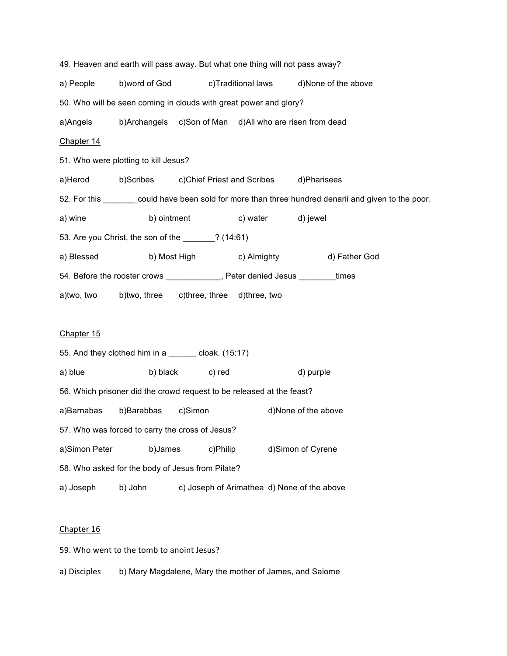49. Heaven and earth will pass away. But what one thing will not pass away? a) People b)word of God c)Traditional laws d)None of the above 50. Who will be seen coming in clouds with great power and glory? a)Angels b)Archangels c)Son of Man d)All who are risen from dead Chapter 14 51. Who were plotting to kill Jesus? a)Herod b)Scribes c)Chief Priest and Scribes d)Pharisees 52. For this \_\_\_\_\_\_\_ could have been sold for more than three hundred denarii and given to the poor. a) wine b) ointment c) water d) jewel 53. Are you Christ, the son of the \_\_\_\_\_\_\_? (14:61) a) Blessed b) Most High c) Almighty d) Father God 54. Before the rooster crows \_\_\_\_\_\_\_\_\_\_\_\_, Peter denied Jesus \_\_\_\_\_\_\_times a)two, two b)two, three c)three, three d)three, two Chapter 15 55. And they clothed him in a \_\_\_\_\_\_ cloak. (15:17) a) blue b) black c) red d) purple 56. Which prisoner did the crowd request to be released at the feast? a)Barnabas b)Barabbas c)Simon d)None of the above 57. Who was forced to carry the cross of Jesus? a)Simon Peter b)James c)Philip d)Simon of Cyrene 58. Who asked for the body of Jesus from Pilate? a) Joseph b) John c) Joseph of Arimathea d) None of the above

#### Chapter 16

59. Who went to the tomb to anoint Jesus?

a) Disciples b) Mary Magdalene, Mary the mother of James, and Salome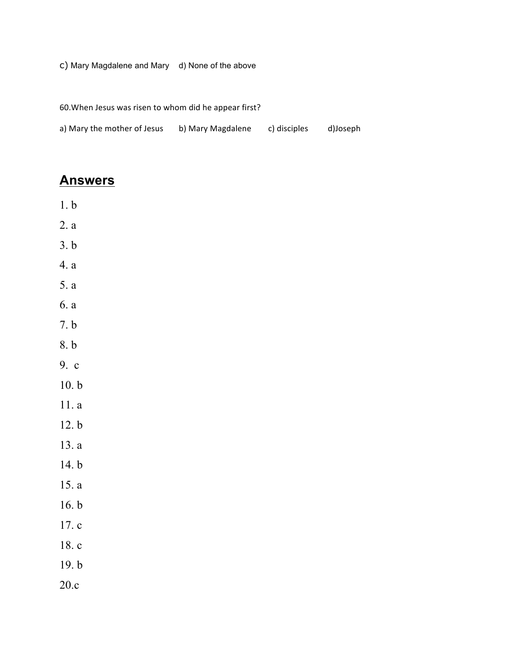# c) Mary Magdalene and Mary d) None of the above

60. When Jesus was risen to whom did he appear first?

| a) Mary the mother of Jesus | b) Mary Magdalene | c) disciples | d)Joseph |
|-----------------------------|-------------------|--------------|----------|
|-----------------------------|-------------------|--------------|----------|

# **Answers**

- 1. b
- 2. a
- 3. b
- 4. a
- 5. a
- 6. a
- 7. b
- 
- 8. b
- 9. c
- 10. b
- 11. a
- 12. b
- 13. a
- 14. b
- 15. a
- 16. b
- 17. c
- 18. c
- 19. b
- 20.c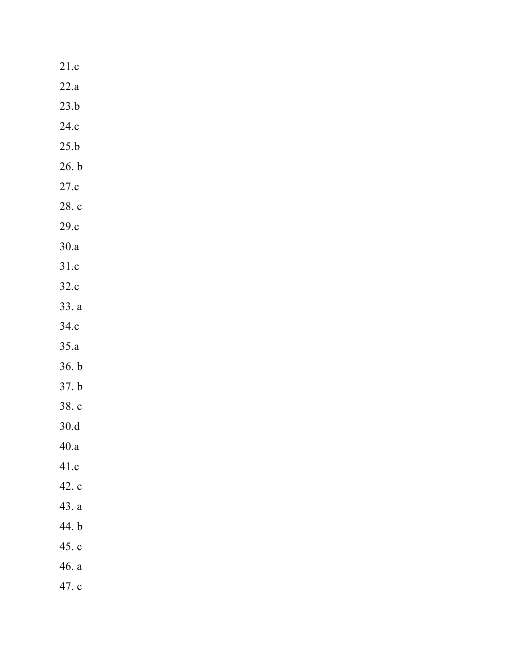| 21.c  |
|-------|
| 22.a  |
| 23.b  |
| 24.c  |
| 25.b  |
| 26. b |
| 27.c  |
| 28. c |
| 29.c  |
| 30.a  |
| 31.c  |
| 32.c  |
| 33. a |
| 34.c  |
| 35.a  |
| 36. b |
| 37. b |
| 38. c |
| 30.d  |
| 40.a  |
| 41.c  |
| 42. c |
| 43. a |
| 44. b |
| 45.c  |
| 46. a |
| 47. c |